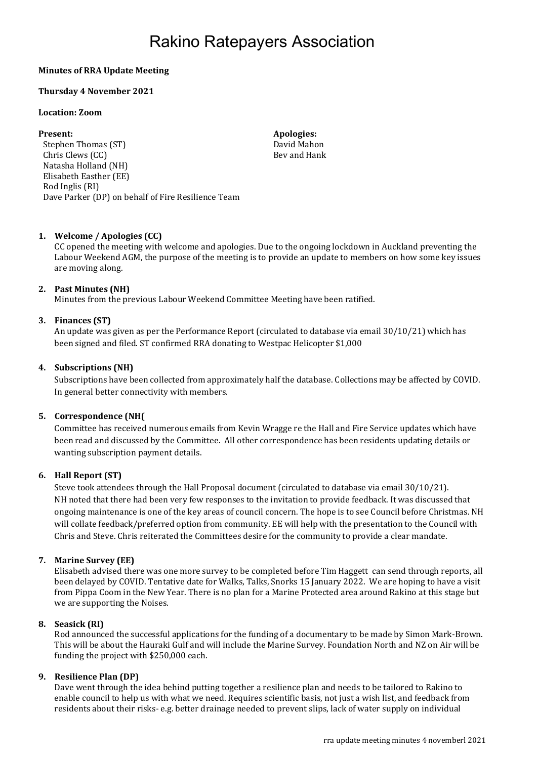# Rakino Ratepayers Association

# Minutes of RRA Update Meeting

# Thursday 4 November 2021

#### Location: Zoom

Stephen Thomas (ST) Stephen Thomas (ST) David Mahon Chris Clews (CC) Natasha Holland (NH) Elisabeth Easther (EE) Rod Inglis (RI) Dave Parker (DP) on behalf of Fire Resilience Team

Present: Apologies: Apologies: Apologies: Apologies: Apologies: Apologies: Apologies: Apologies: Apologies: Apologies: Apologies: Apologies: Apologies: Apologies: Apologies: Apologies: Apologies: Apologies: Apologies: Apol Bev and Hank

# 1. Welcome / Apologies (CC)

CC opened the meeting with welcome and apologies. Due to the ongoing lockdown in Auckland preventing the Labour Weekend AGM, the purpose of the meeting is to provide an update to members on how some key issues are moving along.

#### 2. Past Minutes (NH)

Minutes from the previous Labour Weekend Committee Meeting have been ratified.

# 3. Finances (ST)

An update was given as per the Performance Report (circulated to database via email 30/10/21) which has been signed and filed. ST confirmed RRA donating to Westpac Helicopter \$1,000

#### 4. Subscriptions (NH)

Subscriptions have been collected from approximately half the database. Collections may be affected by COVID. In general better connectivity with members.

# 5. Correspondence (NH(

Committee has received numerous emails from Kevin Wragge re the Hall and Fire Service updates which have been read and discussed by the Committee. All other correspondence has been residents updating details or wanting subscription payment details.

# 6. Hall Report (ST)

Steve took attendees through the Hall Proposal document (circulated to database via email 30/10/21). NH noted that there had been very few responses to the invitation to provide feedback. It was discussed that ongoing maintenance is one of the key areas of council concern. The hope is to see Council before Christmas. NH will collate feedback/preferred option from community. EE will help with the presentation to the Council with Chris and Steve. Chris reiterated the Committees desire for the community to provide a clear mandate.

# 7. Marine Survey (EE)

Elisabeth advised there was one more survey to be completed before Tim Haggett can send through reports, all been delayed by COVID. Tentative date for Walks, Talks, Snorks 15 January 2022. We are hoping to have a visit from Pippa Coom in the New Year. There is no plan for a Marine Protected area around Rakino at this stage but we are supporting the Noises.

# 8. Seasick (RI)

Rod announced the successful applications for the funding of a documentary to be made by Simon Mark-Brown. This will be about the Hauraki Gulf and will include the Marine Survey. Foundation North and NZ on Air will be funding the project with \$250,000 each.

#### 9. Resilience Plan (DP)

Dave went through the idea behind putting together a resilience plan and needs to be tailored to Rakino to enable council to help us with what we need. Requires scientific basis, not just a wish list, and feedback from residents about their risks- e.g. better drainage needed to prevent slips, lack of water supply on individual